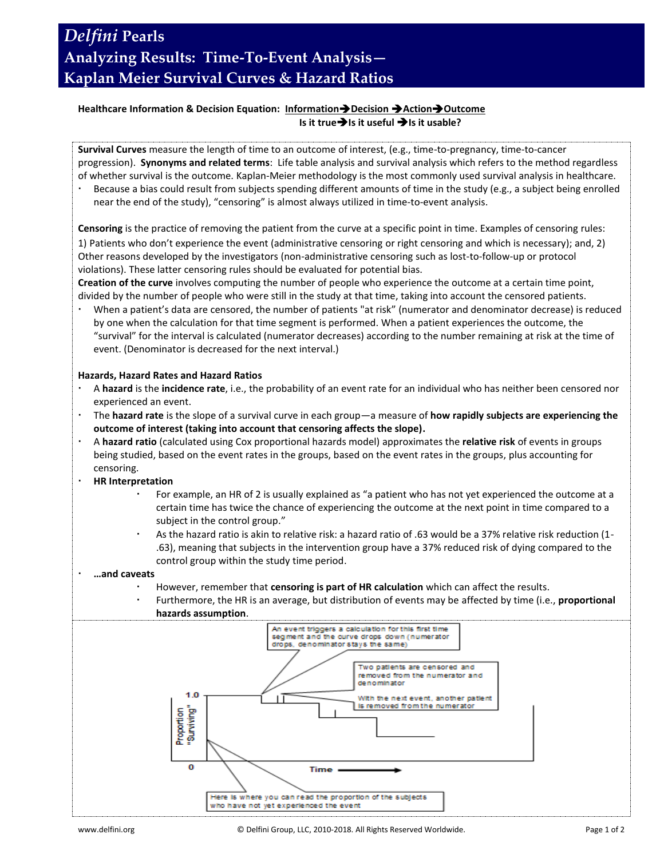# *Delfini* **Pearls Analyzing Results: Time-To-Event Analysis— Kaplan Meier Survival Curves & Hazard Ratios**

### **Healthcare Information & Decision Equation: InformationDecision ActionOutcome Is it true → Is it useful → Is it usable?**

**Survival Curves** measure the length of time to an outcome of interest, (e.g., time-to-pregnancy, time-to-cancer progression). **Synonyms and related terms**: Life table analysis and survival analysis which refers to the method regardless of whether survival is the outcome. Kaplan-Meier methodology is the most commonly used survival analysis in healthcare.

 Because a bias could result from subjects spending different amounts of time in the study (e.g., a subject being enrolled near the end of the study), "censoring" is almost always utilized in time-to-event analysis.

**Censoring** is the practice of removing the patient from the curve at a specific point in time. Examples of censoring rules: 1) Patients who don't experience the event (administrative censoring or right censoring and which is necessary); and, 2) Other reasons developed by the investigators (non-administrative censoring such as lost-to-follow-up or protocol violations). These latter censoring rules should be evaluated for potential bias.

**Creation of the curve** involves computing the number of people who experience the outcome at a certain time point, divided by the number of people who were still in the study at that time, taking into account the censored patients.

 When a patient's data are censored, the number of patients "at risk" (numerator and denominator decrease) is reduced by one when the calculation for that time segment is performed. When a patient experiences the outcome, the "survival" for the interval is calculated (numerator decreases) according to the number remaining at risk at the time of event. (Denominator is decreased for the next interval.)

#### **Hazards, Hazard Rates and Hazard Ratios**

- A **hazard** is the **incidence rate**, i.e., the probability of an event rate for an individual who has neither been censored nor experienced an event.
- The **hazard rate** is the slope of a survival curve in each group—a measure of **how rapidly subjects are experiencing the outcome of interest (taking into account that censoring affects the slope).**
- A **hazard ratio** (calculated using Cox proportional hazards model) approximates the **relative risk** of events in groups being studied, based on the event rates in the groups, based on the event rates in the groups, plus accounting for censoring.
- **HR Interpretation**
	- For example, an HR of 2 is usually explained as "a patient who has not yet experienced the outcome at a certain time has twice the chance of experiencing the outcome at the next point in time compared to a subject in the control group."
	- As the hazard ratio is akin to relative risk: a hazard ratio of .63 would be a 37% relative risk reduction (1- .63), meaning that subjects in the intervention group have a 37% reduced risk of dying compared to the control group within the study time period.
- **…and caveats**
	- However, remember that **censoring is part of HR calculation** which can affect the results.
	- Furthermore, the HR is an average, but distribution of events may be affected by time (i.e., **proportional hazards assumption**.